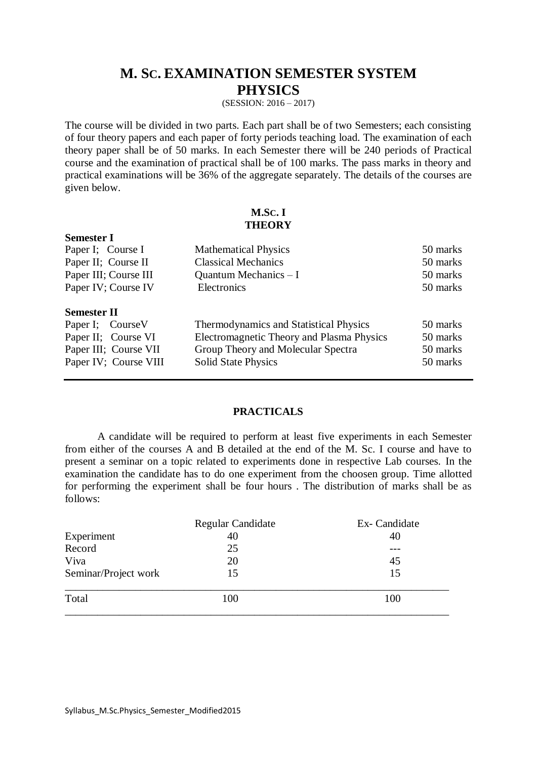# **M. SC. EXAMINATION SEMESTER SYSTEM PHYSICS**

(SESSION: 2016 – 2017)

The course will be divided in two parts. Each part shall be of two Semesters; each consisting of four theory papers and each paper of forty periods teaching load. The examination of each theory paper shall be of 50 marks. In each Semester there will be 240 periods of Practical course and the examination of practical shall be of 100 marks. The pass marks in theory and practical examinations will be 36% of the aggregate separately. The details of the courses are given below.

### **M.SC. I THEORY**

| Paper I; Course I     | <b>Mathematical Physics</b>               | 50 marks |
|-----------------------|-------------------------------------------|----------|
| Paper II; Course II   | <b>Classical Mechanics</b>                | 50 marks |
| Paper III; Course III | Quantum Mechanics - I                     | 50 marks |
| Paper IV; Course IV   | Electronics                               | 50 marks |
| <b>Semester II</b>    |                                           |          |
| Paper I; Course V     | Thermodynamics and Statistical Physics    | 50 marks |
| Paper II; Course VI   | Electromagnetic Theory and Plasma Physics | 50 marks |
| Paper III; Course VII | Group Theory and Molecular Spectra        | 50 marks |
| Paper IV; Course VIII | <b>Solid State Physics</b>                | 50 marks |
|                       |                                           |          |

#### **PRACTICALS**

A candidate will be required to perform at least five experiments in each Semester from either of the courses A and B detailed at the end of the M. Sc. I course and have to present a seminar on a topic related to experiments done in respective Lab courses. In the examination the candidate has to do one experiment from the choosen group. Time allotted for performing the experiment shall be four hours . The distribution of marks shall be as follows:

| <b>Regular Candidate</b> | Ex- Candidate |
|--------------------------|---------------|
| 40                       | 40            |
| 25                       |               |
| 20                       | 45            |
| 15                       | 15            |
| 100                      | 100           |
|                          |               |

**Semester I**